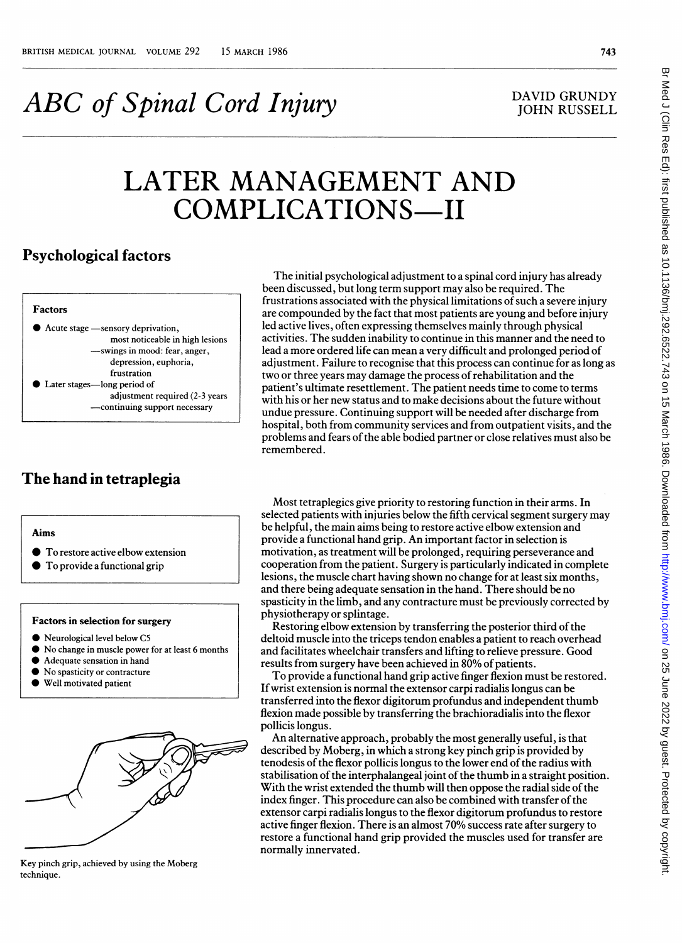# ABC of Spinal Cord Injury DAVID GRUNDY JOHN RUSSELL

# JOHN RUSSELL

## LATER MANAGEMENT AND COMPLICATIONS-II

### Psychological factors

| <b>Factors</b> |                                     |
|----------------|-------------------------------------|
|                | • Acute stage —sensory deprivation, |
|                | most noticeable in high lesions     |
|                | -swings in mood: fear, anger,       |
|                | depression, euphoria,               |
|                | frustration                         |
|                | • Later stages—long period of       |
|                | adjustment required (2-3 years      |
|                | -continuing support necessary       |

## The hand in tetraplegia



- $\bullet$  To restore active elbow extension
- $\bullet$  To provide a functional grip

#### Factors in selection for surgery

- Neurological level below C5
- No change in muscle power for at least 6 months
- Adequate sensation in hand
- No spasticity or contracture
- Well motivated patient

Key pinch grip, achieved by using the Moberg technique.

The initial psychological adjustment to a spinal cord injury has already been discussed, but long term support may also be required. The frustrations associated with the physical limitations of such a severe injury are compounded by the fact that most patients are young and before injury led active lives, often expressing themselves mainly through physical activities. The sudden inability to continue in this manner and the need to lead a more ordered life can mean a very difficult and prolonged period of adjustment. Failure to recognise that this process can continue for as long as two or three years may damage the process of rehabilitation and the patient's ultimate resettlement. The patient needs time to come to terms with his or her new status and to make decisions about the future without undue pressure. Continuing support will be needed after discharge from hospital, both from community services and from outpatient visits, and the problems and fears of the able bodied partner or close relatives must also be remembered.

Most tetraplegics give priority to restoring function in their arms. In selected patients with injuries below the fifth cervical segment surgery may be helpful, the main aims being to restore active elbow extension and provide <sup>a</sup> functional hand grip. An important factor in selection is motivation, as treatment will be prolonged, requiring perseverance and cooperation from the patient. Surgery is particularly indicated in complete lesions, the muscle chart having shown no change for at least six months, and there being adequate sensation in the hand. There should be no spasticity in the limb, and any contracture must be previously corrected by physiotherapy or splintage.

Restoring elbow extension by transferring the posterior third of the deltoid muscle into the triceps tendon enables a patient to reach overhead and facilitates wheelchair transfers and lifting to relieve pressure. Good results from surgery have been achieved in 80% of patients.

To provide <sup>a</sup> functional hand grip active finger flexion must be restored. If wrist extension is normal the extensor carpi radialis longus can be transferred into the flexor digitorum profundus and independent thumb flexion made possible by transferring the brachioradialis into the flexor pollicis longus.

An alternative approach, probably the most generally useful, is that described by Moberg, in which a strong key pinch grip is provided by tenodesis of the flexor pollicis longus to the lower end of the radius with stabilisation of the interphalangeal joint of the thumb in a straight position. With the wrist extended the thumb will then oppose the radial side of the index finger. This procedure can also be combined with transfer of the extensor carpi radialis longus to the flexor digitorum profundus to restore active finger flexion. There is an almost 70% success rate after surgery to restore a functional hand grip provided the muscles used for transfer are normally innervated.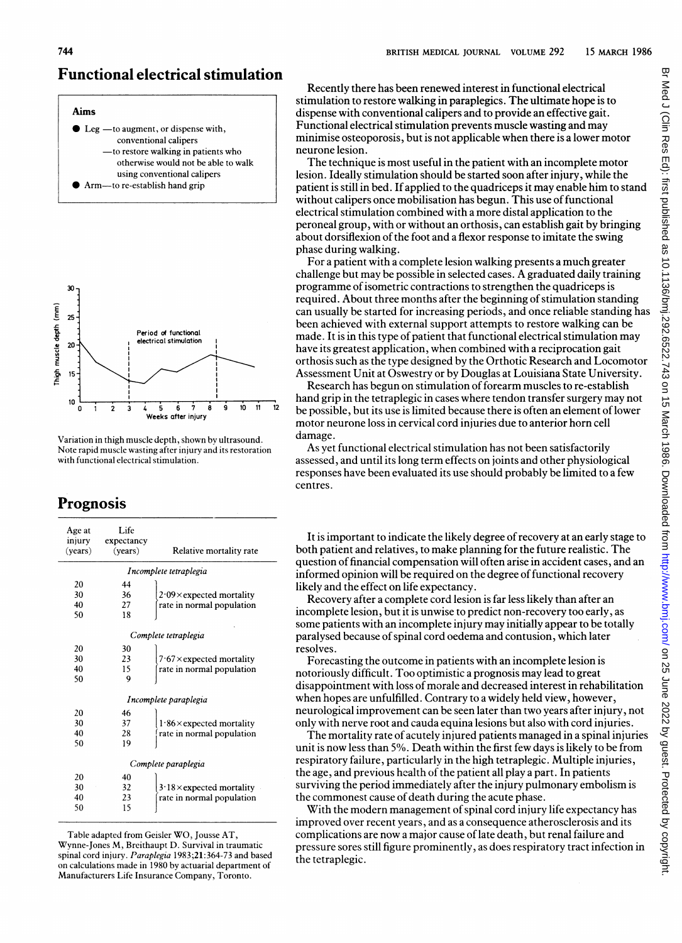## Functional electrical stimulation





Variation in thigh muscle depth, shown by ultrasound. Note rapid muscle wasting after injury and its restoration with functional electrical stimulation.

### Prognosis

| Age at<br>injury<br>(years) | Life<br>expectancy<br>(years) | Relative mortality rate         |  |  |
|-----------------------------|-------------------------------|---------------------------------|--|--|
| Incomplete tetraplegia      |                               |                                 |  |  |
| 20                          | 44                            |                                 |  |  |
| 30                          | 36                            | 2.09×expected mortality         |  |  |
| 40                          | 27                            | rate in normal population       |  |  |
| 50                          | 18                            |                                 |  |  |
| Complete tetraplegia        |                               |                                 |  |  |
| 20                          | 30                            |                                 |  |  |
| 30                          | 23                            | 7.67×expected mortality         |  |  |
| 40                          | 15                            | rate in normal population       |  |  |
| 50                          | 9                             |                                 |  |  |
| Incomplete paraplegia       |                               |                                 |  |  |
| 20                          | 46                            |                                 |  |  |
| 30                          | 37                            | $1.86\times$ expected mortality |  |  |
| 40                          | 28                            | rate in normal population       |  |  |
| 50                          | 19                            |                                 |  |  |
| Complete paraplegia         |                               |                                 |  |  |
| 20                          | 40                            |                                 |  |  |
| 30                          | 32                            | 3.18×expected mortality         |  |  |
| 40                          | 23                            | rate in normal population       |  |  |
| 50                          | 15                            |                                 |  |  |
|                             |                               |                                 |  |  |

Table adapted from Geisler WO, Jousse AT, Wynne-Jones M, Breithaupt D. Survival in traumatic spinal cord injury. Paraplegia 1983;21:364-73 and based on calculations made in 1980 by actuarial department of Manufacturers Life Insurance Company, Toronto.

Recently there has been renewed interest in functional electrical stimulation to restore walking in paraplegics. The ultimate hope is to dispense with conventional calipers and to provide an effective gait. Functional electrical stimulation prevents muscle wasting and may minimise osteoporosis, but is not applicable when there is a lower motor neurone lesion.

The technique is most useful in the patient with an incomplete motor lesion. Ideally stimulation should be started soon after injury, while the patient is still in bed. If applied to the quadriceps it may enable him to stand without calipers once mobilisation has begun. This use of functional electrical stimulation combined with a more distal application to the peroneal group, with or without an orthosis, can establish gait by bringing about dorsiflexion of the foot and a flexor response to imitate the swing phase during walking.

 $\ddot{P}$  Assessment Unit at Oswestry or by Douglas at Louisiana State University. For <sup>a</sup> patient with <sup>a</sup> complete lesion walking presents <sup>a</sup> much greater challenge but may be possible in selected cases. A graduated daily training programme of isometric contractions to strengthen the quadriceps is required. About three months after the beginning of stimulation standing can usually be started for increasing periods, and once reliable standing has been achieved with external support attempts to restore walking can be made. It is in this type of patient that functional electrical stimulation may have its greatest application, when combined with a reciprocation gait orthosis such as the type designed by the Orthotic Research and Locomotor

Research has begun on stimulation of forearm muscles to re-establish hand grip in the tetraplegic in cases where tendon transfer surgery may not be possible, but its use is limited because there is often an element of lower motor neurone loss in cervical cord injuries due to anterior horn cell damage.

As yet functional electrical stimulation has not been satisfactorily assessed, and until its long term effects on joints and other physiological responses have been evaluated its use should probably be limited to a few centres.

It is important to indicate the likely degree of recovery at an early stage to both patient and relatives, to make planning for the future realistic. The question offinancial compensation will often arise in accident cases, and an informed opinion will be required on the degree of functional recovery likely and the effect on life expectancy.

Recovery after a complete cord lesion is far less likely than after an incomplete lesion, but it is unwise to predict non-recovery too early, as some patients with an incomplete injury may initially appear to be totally paralysed because of spinal cord oedema and contusion, which later resolves.

Forecasting the outcome in patients with an incomplete lesion is notoriously difficult. Too optimistic <sup>a</sup> prognosis may lead to great disappointment with loss of morale and decreased interest in rehabilitation when hopes are unfulfilled. Contrary to a widely held view, however, neurological improvement can be seen later than two years after injury, not only with nerve root and cauda equina lesions but also with cord injuries.

The mortality rate of acutely injured patients managed in a spinal injuries unit is now less than 5%. Death within the first few days is likely to be from respiratory failure, particularly in the high tetraplegic. Multiple injuries, the age, and previous health of the patient all play a part. In patients surviving the period immediately after the injury pulmonary embolism is the commonest cause of death during the acute phase.

With the modern management of spinal cord injury life expectancy has improved over recent years, and as a consequence atherosclerosis and its complications are now <sup>a</sup> major cause oflate death, but renal failure and pressure sores still figure prominently, as does respiratory tract infection in the tetraplegic.